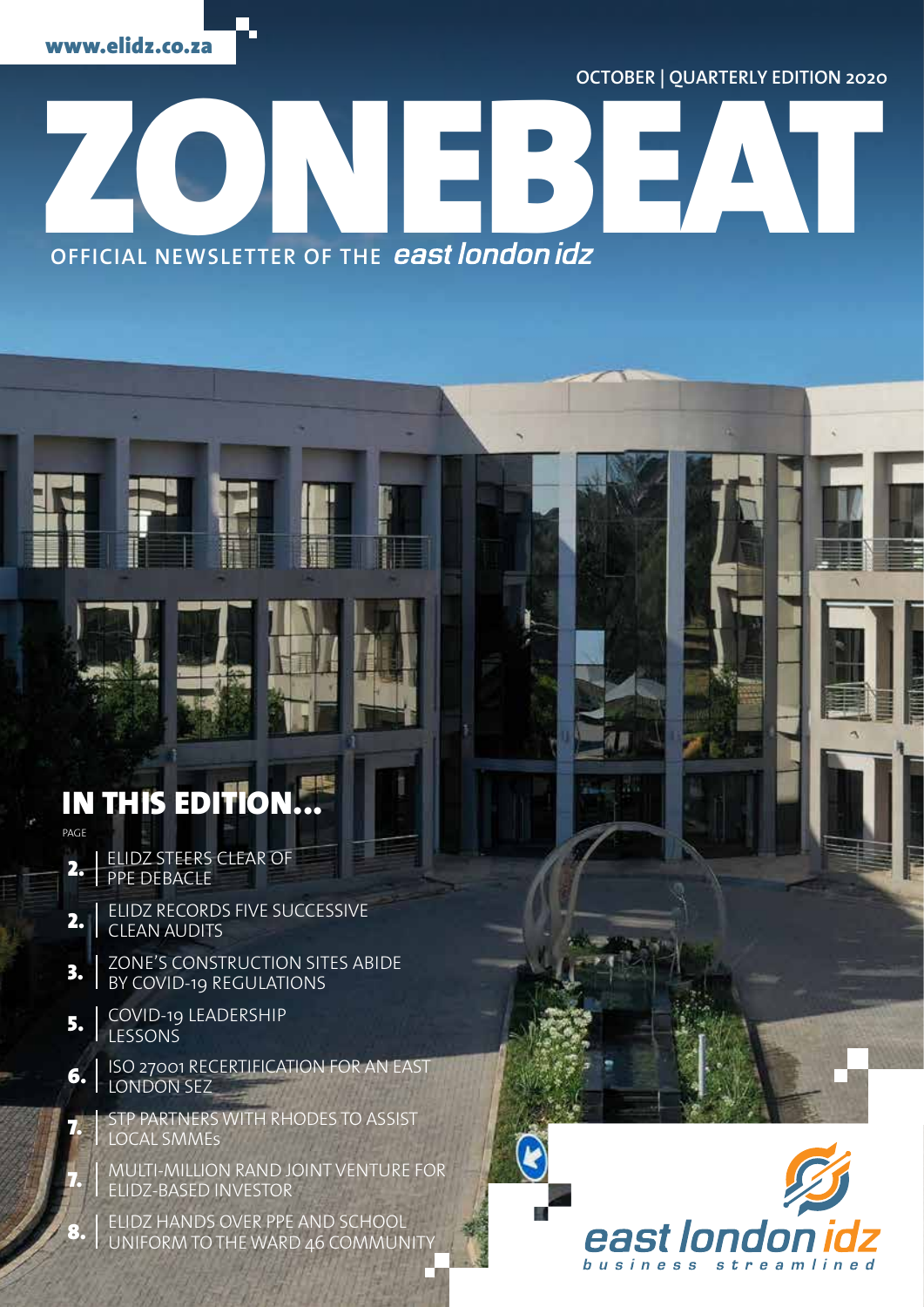**OCTOBER | QUARTERLY EDITION 2020**

OFFICIAL NEWSLETTER OF THE *east london idz* **OFFICIAL NEWSLETTER OF THE**

### IN THIS EDITION PAGE

- ELIDZ STEERS CLEAR OF PPE DEBACLE 2.
- ELIDZ RECORDS FIVE SUCCESSIVE CLEAN AUDITS 2.
- ZONE'S CONSTRUCTION SITES ABIDE BY COVID-19 REGULATIONS 3.
- COVID-19 LEADERSHIP LESSONS 5.

7.

8.

- ISO 27001 RECERTIFICATION FOR AN EAST LONDON SEZ 6.
	- STP PARTNERS WITH RHODES TO ASSIST LOCAL SMMEs
- MULTI-MILLION RAND JOINT VENTURE FOR ELIDZ-BASED INVESTOR 7.

ELIDZ HANDS OVER PPE AND SCHOOL UNIFORM TO THE WARD 46 COMMUNITY

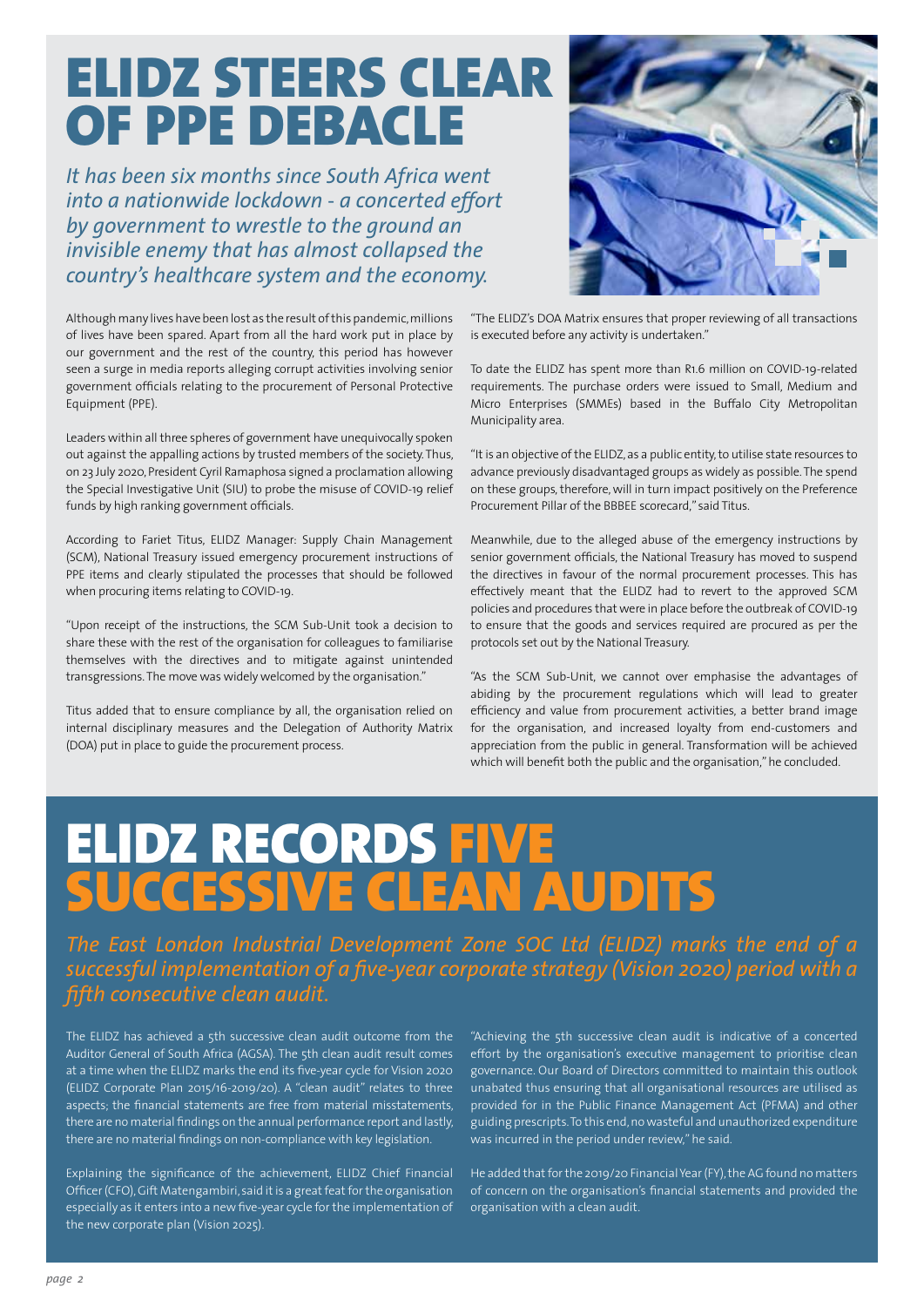## ELIDZ STEERS CLEAR OF PPE DEBACLE

*It has been six months since South Africa went into a nationwide lockdown - a concerted effort by government to wrestle to the ground an invisible enemy that has almost collapsed the country's healthcare system and the economy.* 

Although many lives have been lost as the result of this pandemic, millions of lives have been spared. Apart from all the hard work put in place by our government and the rest of the country, this period has however seen a surge in media reports alleging corrupt activities involving senior government officials relating to the procurement of Personal Protective Equipment (PPE).

Leaders within all three spheres of government have unequivocally spoken out against the appalling actions by trusted members of the society. Thus, on 23 July 2020, President Cyril Ramaphosa signed a proclamation allowing the Special Investigative Unit (SIU) to probe the misuse of COVID-19 relief funds by high ranking government officials.

According to Fariet Titus, ELIDZ Manager: Supply Chain Management (SCM), National Treasury issued emergency procurement instructions of PPE items and clearly stipulated the processes that should be followed when procuring items relating to COVID-19.

"Upon receipt of the instructions, the SCM Sub-Unit took a decision to share these with the rest of the organisation for colleagues to familiarise themselves with the directives and to mitigate against unintended transgressions. The move was widely welcomed by the organisation."

Titus added that to ensure compliance by all, the organisation relied on internal disciplinary measures and the Delegation of Authority Matrix (DOA) put in place to guide the procurement process.



"The ELIDZ's DOA Matrix ensures that proper reviewing of all transactions is executed before any activity is undertaken."

To date the ELIDZ has spent more than R1.6 million on COVID-19-related requirements. The purchase orders were issued to Small, Medium and Micro Enterprises (SMMEs) based in the Buffalo City Metropolitan Municipality area.

"It is an objective of the ELIDZ, as a public entity, to utilise state resources to advance previously disadvantaged groups as widely as possible. The spend on these groups, therefore, will in turn impact positively on the Preference Procurement Pillar of the BBBEE scorecard," said Titus.

Meanwhile, due to the alleged abuse of the emergency instructions by senior government officials, the National Treasury has moved to suspend the directives in favour of the normal procurement processes. This has effectively meant that the ELIDZ had to revert to the approved SCM policies and procedures that were in place before the outbreak of COVID-19 to ensure that the goods and services required are procured as per the protocols set out by the National Treasury.

"As the SCM Sub-Unit, we cannot over emphasise the advantages of abiding by the procurement regulations which will lead to greater efficiency and value from procurement activities, a better brand image for the organisation, and increased loyalty from end-customers and appreciation from the public in general. Transformation will be achieved which will benefit both the public and the organisation," he concluded.

## ELIDZ RECORDS FIVE SUCCESSIVE CLEAN AUDITS

*The East London Industrial Development Zone SOC Ltd (ELIDZ) marks the end of a successful implementation of a five-year corporate strategy (Vision 2020) period with a fifth consecutive clean audit.*

The ELIDZ has achieved a 5th successive clean audit outcome from the Auditor General of South Africa (AGSA). The 5th clean audit result comes at a time when the ELIDZ marks the end its five-year cycle for Vision 2020 (ELIDZ Corporate Plan 2015/16-2019/20). A "clean audit" relates to three aspects; the financial statements are free from material misstatements, there are no material findings on the annual performance report and lastly, there are no material findings on non-compliance with key legislation.

Explaining the significance of the achievement, ELIDZ Chief Financial Officer (CFO), Gift Matengambiri, said it is a great feat for the organisation especially as it enters into a new five-year cycle for the implementation of the new corporate plan (Vision 2025).

"Achieving the 5th successive clean audit is indicative of a concerted effort by the organisation's executive management to prioritise clean governance. Our Board of Directors committed to maintain this outlook unabated thus ensuring that all organisational resources are utilised as provided for in the Public Finance Management Act (PFMA) and other guiding prescripts. To this end, no wasteful and unauthorized expenditure was incurred in the period under review," he said.

He added that for the 2019/20 Financial Year (FY), the AG found no matters of concern on the organisation's financial statements and provided the organisation with a clean audit.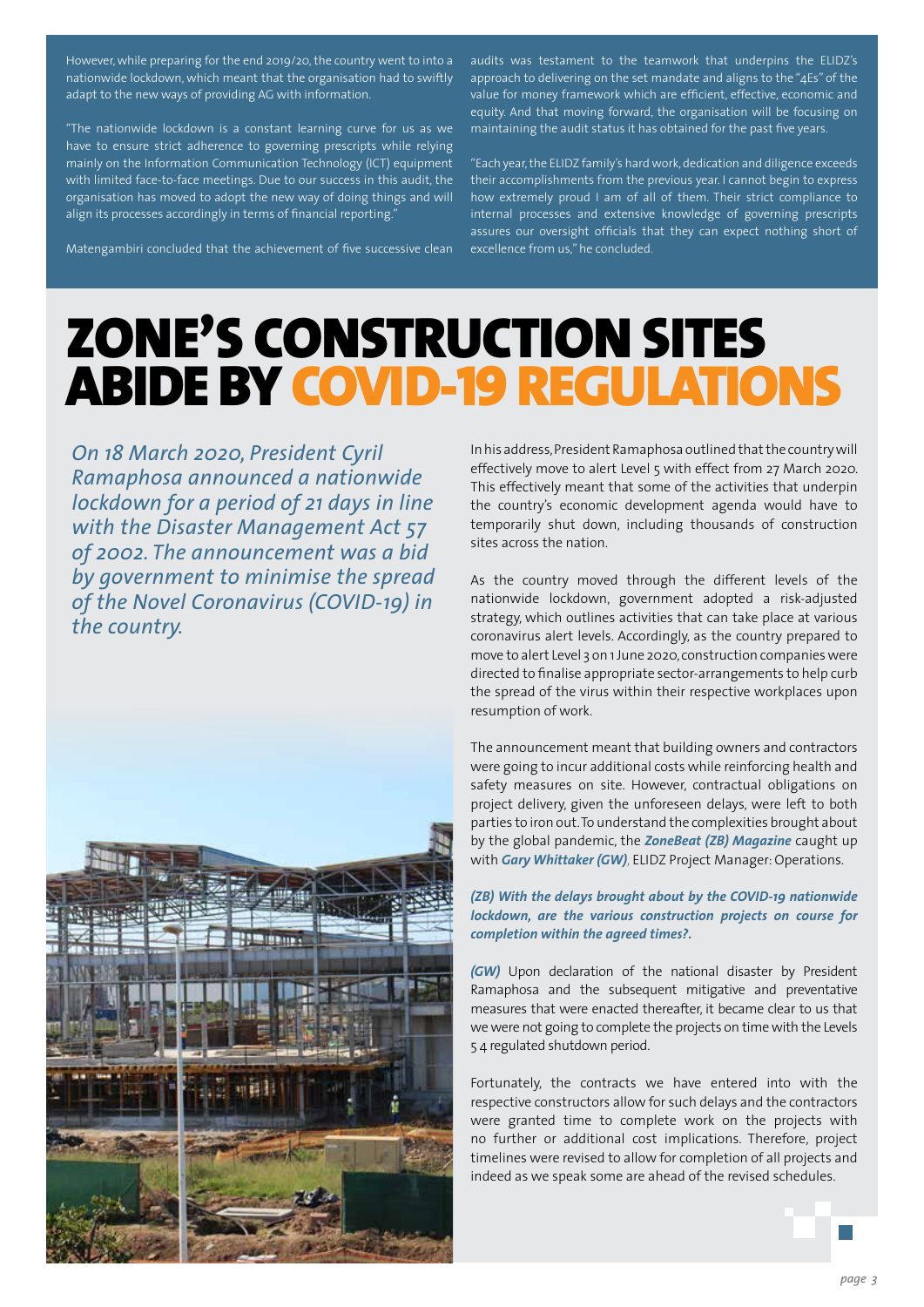However, while preparing for the end 2019/20, the country went to into a nationwide lockdown, which meant that the organisation had to swiftly adapt to the new ways of providing AG with information.

"The nationwide lockdown is a constant learning curve for us as we have to ensure strict adherence to governing prescripts while relying mainly on the Information Communication Technology (ICT) equipment with limited face-to-face meetings. Due to our success in this audit, the organisation has moved to adopt the new way of doing things and will align its processes accordingly in terms of financial reporting."

Matengambiri concluded that the achievement of five successive clean

audits was testament to the teamwork that underpins the ELIDZ's approach to delivering on the set mandate and aligns to the "4Es" of the value for money framework which are efficient, effective, economic and equity. And that moving forward, the organisation will be focusing on maintaining the audit status it has obtained for the past five years.

"Each year, the ELIDZ family's hard work, dedication and diligence exceeds their accomplishments from the previous year. I cannot begin to express how extremely proud I am of all of them. Their strict compliance to internal processes and extensive knowledge of governing prescripts assures our oversight officials that they can expect nothing short of excellence from us," he concluded.

### ZONE'S CONSTRUCTION SITES ABIDE BY COVID-19 REGULATIONS

*On 18 March 2020, President Cyril Ramaphosa announced a nationwide lockdown for a period of 21 days in line with the Disaster Management Act 57 of 2002. The announcement was a bid by government to minimise the spread of the Novel Coronavirus (COVID-19) in the country.* 



In his address, President Ramaphosa outlined that the country will effectively move to alert Level 5 with effect from 27 March 2020. This effectively meant that some of the activities that underpin the country's economic development agenda would have to temporarily shut down, including thousands of construction sites across the nation.

As the country moved through the different levels of the nationwide lockdown, government adopted a risk-adjusted strategy, which outlines activities that can take place at various coronavirus alert levels. Accordingly, as the country prepared to move to alert Level 3 on 1 June 2020, construction companies were directed to finalise appropriate sector-arrangements to help curb the spread of the virus within their respective workplaces upon resumption of work.

The announcement meant that building owners and contractors were going to incur additional costs while reinforcing health and safety measures on site. However, contractual obligations on project delivery, given the unforeseen delays, were left to both parties to iron out. To understand the complexities brought about by the global pandemic, the *ZoneBeat (ZB) Magazine* caught up with *Gary Whittaker (GW)*, ELIDZ Project Manager: Operations.

#### *(ZB) With the delays brought about by the COVID-19 nationwide lockdown, are the various construction projects on course for completion within the agreed times?.*

*(GW)* Upon declaration of the national disaster by President Ramaphosa and the subsequent mitigative and preventative measures that were enacted thereafter, it became clear to us that we were not going to complete the projects on time with the Levels 5 4 regulated shutdown period.

Fortunately, the contracts we have entered into with the respective constructors allow for such delays and the contractors were granted time to complete work on the projects with no further or additional cost implications. Therefore, project timelines were revised to allow for completion of all projects and indeed as we speak some are ahead of the revised schedules.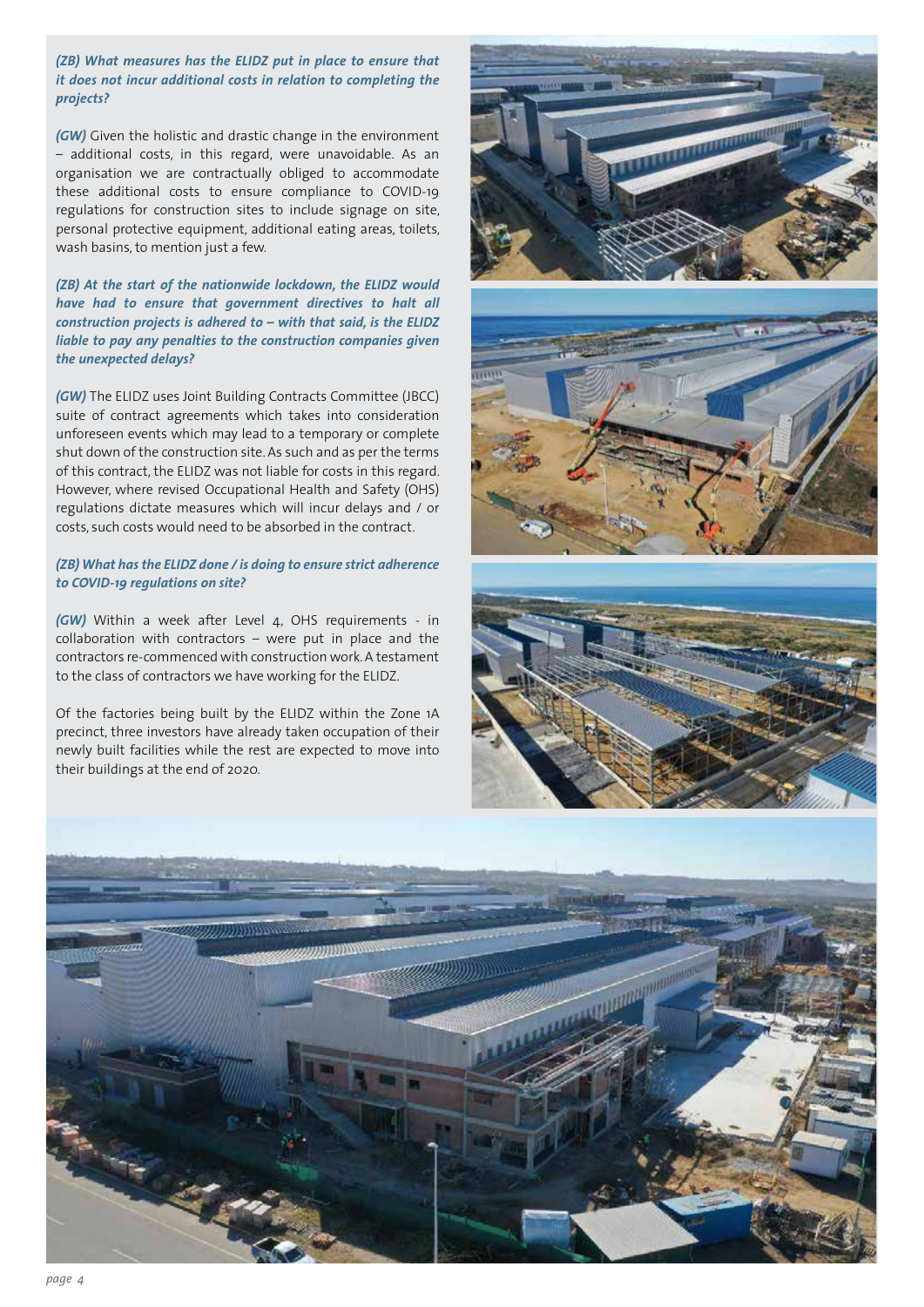*(ZB) What measures has the ELIDZ put in place to ensure that it does not incur additional costs in relation to completing the projects?*

*(GW)* Given the holistic and drastic change in the environment – additional costs, in this regard, were unavoidable. As an organisation we are contractually obliged to accommodate these additional costs to ensure compliance to COVID-19 regulations for construction sites to include signage on site, personal protective equipment, additional eating areas, toilets, wash basins, to mention just a few.

#### *(ZB) At the start of the nationwide lockdown, the ELIDZ would have had to ensure that government directives to halt all construction projects is adhered to – with that said, is the ELIDZ liable to pay any penalties to the construction companies given the unexpected delays?*

*(GW)* The ELIDZ uses Joint Building Contracts Committee (JBCC) suite of contract agreements which takes into consideration unforeseen events which may lead to a temporary or complete shut down of the construction site. As such and as per the terms of this contract, the ELIDZ was not liable for costs in this regard. However, where revised Occupational Health and Safety (OHS) regulations dictate measures which will incur delays and / or costs, such costs would need to be absorbed in the contract.

#### *(ZB) What has the ELIDZ done / is doing to ensure strict adherence to COVID-19 regulations on site?*

*(GW)* Within a week after Level 4, OHS requirements - in collaboration with contractors – were put in place and the contractors re-commenced with construction work. A testament to the class of contractors we have working for the ELIDZ.

Of the factories being built by the ELIDZ within the Zone 1A precinct, three investors have already taken occupation of their newly built facilities while the rest are expected to move into their buildings at the end of 2020.







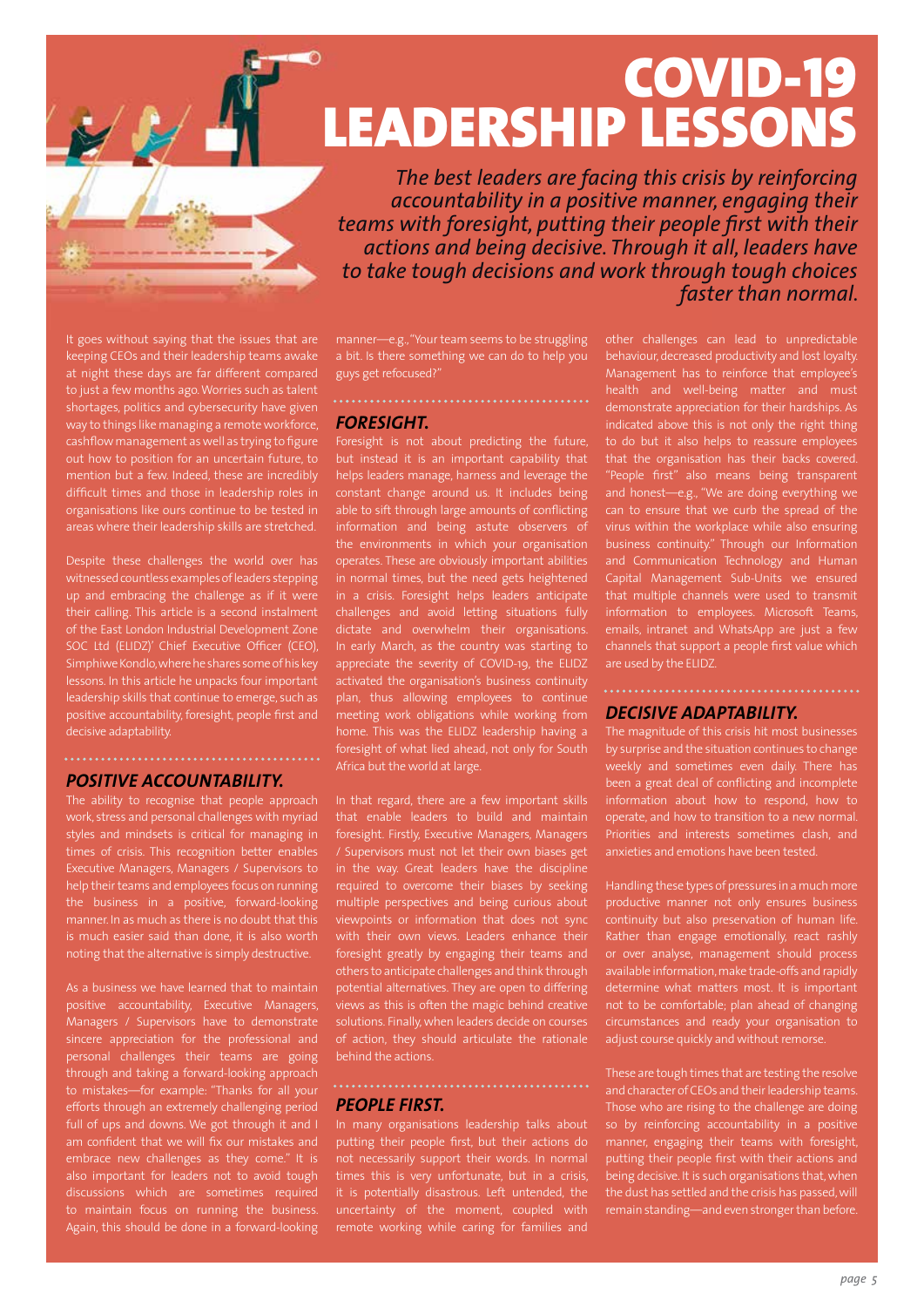# COVID-19 LEADERSHIP LESSONS

*The best leaders are facing this crisis by reinforcing accountability in a positive manner, engaging their teams with foresight, putting their people first with their actions and being decisive. Through it all, leaders have to take tough decisions and work through tough choices faster than normal.*

It goes without saying that the issues that are keeping CEOs and their leadership teams awake at night these days are far different compared to just a few months ago. Worries such as talent shortages, politics and cybersecurity have given way to things like managing a remote workforce, cashflow management as well as trying to figure out how to position for an uncertain future, to mention but a few. Indeed, these are incredibly difficult times and those in leadership roles in organisations like ours continue to be tested in areas where their leadership skills are stretched.

Despite these challenges the world over has witnessed countless examples of leaders stepping up and embracing the challenge as if it were their calling. This article is a second instalment of the East London Industrial Development Zone SOC Ltd (ELIDZ)' Chief Executive Officer (CEO), Simphiwe Kondlo, where he shares some of his key lessons. In this article he unpacks four important leadership skills that continue to emerge, such as positive accountability, foresight, people first and decisive adaptability.

### *Positive accountability.*

The ability to recognise that people approach work, stress and personal challenges with myriad styles and mindsets is critical for managing in times of crisis. This recognition better enables Executive Managers, Managers / Supervisors to help their teams and employees focus on running the business in a positive, forward-looking manner. In as much as there is no doubt that this is much easier said than done, it is also worth noting that the alternative is simply destructive.

positive accountability, Executive Managers, Managers / Supervisors have to demonstrate sincere appreciation for the professional and personal challenges their teams are going through and taking a forward-looking approach efforts through an extremely challenging period full of ups and downs. We got through it and I embrace new challenges as they come." It is also important for leaders not to avoid tough discussions which are sometimes required to maintain focus on running the business. Again, this should be done in a forward-looking manner—e.g., "Your team seems to be struggling a bit. Is there something we can do to help you guys get refocused?"

### *Foresight.*

Foresight is not about predicting the future, but instead it is an important capability that helps leaders manage, harness and leverage the constant change around us. It includes being able to sift through large amounts of conflicting information and being astute observers of the environments in which your organisation operates. These are obviously important abilities in normal times, but the need gets heightened in a crisis. Foresight helps leaders anticipate challenges and avoid letting situations fully dictate and overwhelm their organisations. In early March, as the country was starting to appreciate the severity of COVID-19, the ELIDZ activated the organisation's business continuity plan, thus allowing employees to continue meeting work obligations while working from home. This was the ELIDZ leadership having a foresight of what lied ahead, not only for South Africa but the world at large.

In that regard, there are a few important skills that enable leaders to build and maintain foresight. Firstly, Executive Managers, Managers / Supervisors must not let their own biases get in the way. Great leaders have the discipline required to overcome their biases by seeking multiple perspectives and being curious about viewpoints or information that does not sync with their own views. Leaders enhance their foresight greatly by engaging their teams and others to anticipate challenges and think through potential alternatives. They are open to differing views as this is often the magic behind creative solutions. Finally, when leaders decide on courses of action, they should articulate the rationale behind the actions.

#### *People first.*

In many organisations leadership talks about putting their people first, but their actions do not necessarily support their words. In normal remote working while caring for families and

other challenges can lead to unpredictable behaviour, decreased productivity and lost loyalty. Management has to reinforce that employee's health and well-being matter and must demonstrate appreciation for their hardships. As indicated above this is not only the right thing to do but it also helps to reassure employees that the organisation has their backs covered. "People first" also means being transparent and honest—e.g., "We are doing everything we can to ensure that we curb the spread of the virus within the workplace while also ensuring business continuity." Through our Information and Communication Technology and Human Capital Management Sub-Units we ensured that multiple channels were used to transmit information to employees. Microsoft Teams, emails, intranet and WhatsApp are just a few channels that support a people first value which are used by the ELIDZ.

### *Decisive adaptability.*

The magnitude of this crisis hit most businesses by surprise and the situation continues to change been a great deal of conflicting and incomplete information about how to respond, how to operate, and how to transition to a new normal. Priorities and interests sometimes clash, and anxieties and emotions have been tested.

Handling these types of pressures in a much more productive manner not only ensures business Rather than engage emotionally, react rashly or over analyse, management should process available information, make trade-offs and rapidly determine what matters most. It is important not to be comfortable; plan ahead of changing circumstances and ready your organisation to adjust course quickly and without remorse.

These are tough times that are testing the resolve and character of CEOs and their leadership teams. Those who are rising to the challenge are doing so by reinforcing accountability in a positive manner, engaging their teams with foresight, putting their people first with their actions and being decisive. It is such organisations that, when the dust has settled and the crisis has passed, will remain standing—and even stronger than before.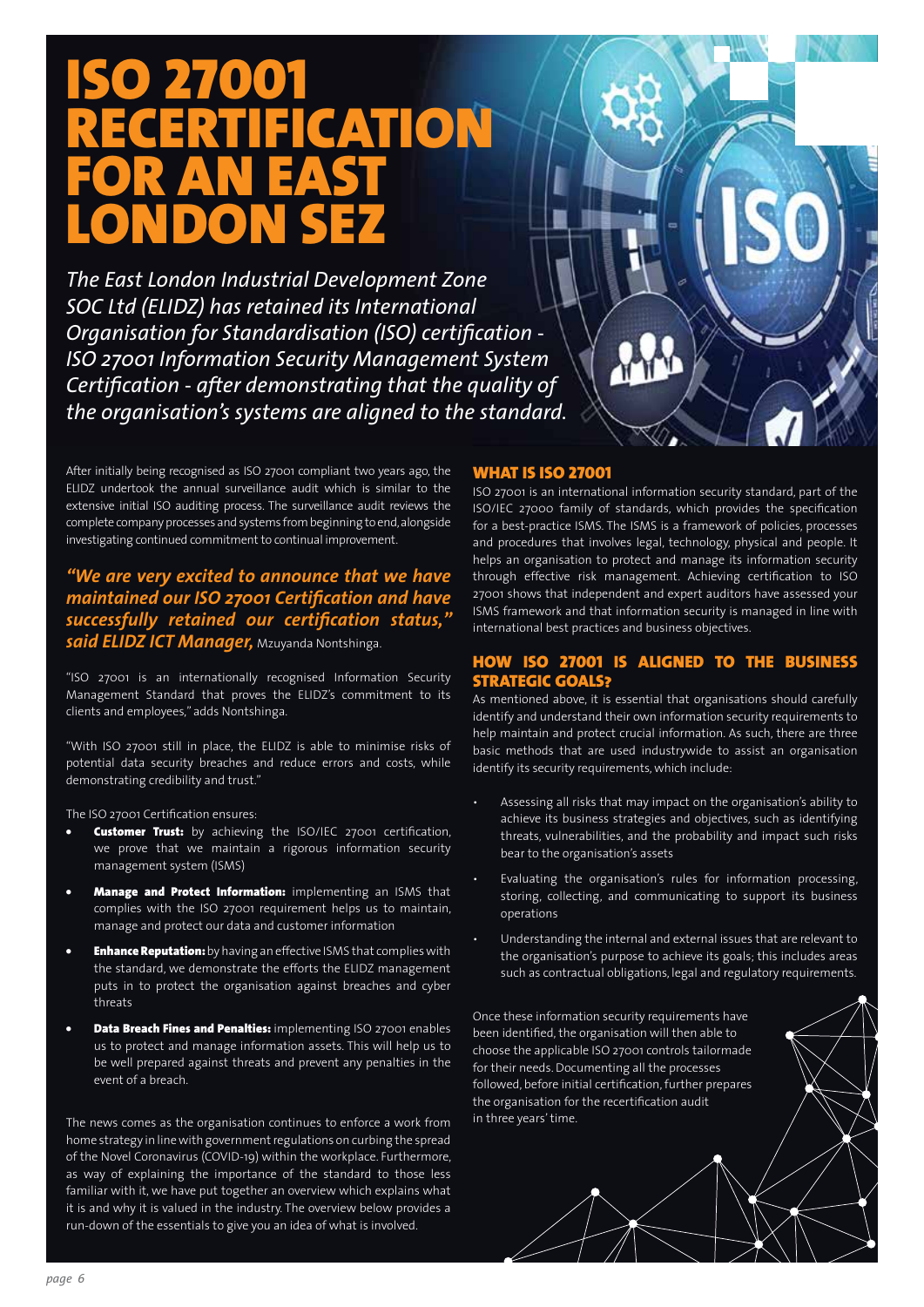### ISO 27001 RECERTIFICATION FOR AN EAST LONDON SEZ

*The East London Industrial Development Zone SOC Ltd (ELIDZ) has retained its International Organisation for Standardisation (ISO) certification - ISO 27001 Information Security Management System Certification - after demonstrating that the quality of the organisation's systems are aligned to the standard.* 

After initially being recognised as ISO 27001 compliant two years ago, the ELIDZ undertook the annual surveillance audit which is similar to the extensive initial ISO auditing process. The surveillance audit reviews the complete company processes and systems from beginning to end, alongside investigating continued commitment to continual improvement.

*"We are very excited to announce that we have maintained our ISO 27001 Certification and have successfully retained our certification status," said ELIDZ ICT Manager,* Mzuyanda Nontshinga.

"ISO 27001 is an internationally recognised Information Security Management Standard that proves the ELIDZ's commitment to its clients and employees," adds Nontshinga.

"With ISO 27001 still in place, the ELIDZ is able to minimise risks of potential data security breaches and reduce errors and costs, while demonstrating credibility and trust."

The ISO 27001 Certification ensures:

- **Customer Trust:** by achieving the ISO/IEC 27001 certification, we prove that we maintain a rigorous information security management system (ISMS)
- Manage and Protect Information: implementing an ISMS that complies with the ISO 27001 requirement helps us to maintain, manage and protect our data and customer information
- **Enhance Reputation:** by having an effective ISMS that complies with the standard, we demonstrate the efforts the ELIDZ management puts in to protect the organisation against breaches and cyber threats
- **Data Breach Fines and Penalties:** implementing ISO 27001 enables us to protect and manage information assets. This will help us to be well prepared against threats and prevent any penalties in the event of a breach.

The news comes as the organisation continues to enforce a work from home strategy in line with government regulations on curbing the spread of the Novel Coronavirus (COVID-19) within the workplace. Furthermore, as way of explaining the importance of the standard to those less familiar with it, we have put together an overview which explains what it is and why it is valued in the industry. The overview below provides a run-down of the essentials to give you an idea of what is involved.

#### What is ISO 27001

ISO 27001 is an international information security standard, part of the ISO/IEC 27000 family of standards, which provides the specification for a best-practice ISMS. The ISMS is a framework of policies, processes and procedures that involves legal, technology, physical and people. It helps an organisation to protect and manage its information security through effective risk management. Achieving certification to ISO 27001 shows that independent and expert auditors have assessed your ISMS framework and that information security is managed in line with international best practices and business objectives.

### ISO 27001 IS ALIGNED TO THE BUSINESS strategic goals?

As mentioned above, it is essential that organisations should carefully identify and understand their own information security requirements to help maintain and protect crucial information. As such, there are three basic methods that are used industrywide to assist an organisation identify its security requirements, which include:

- Assessing all risks that may impact on the organisation's ability to achieve its business strategies and objectives, such as identifying threats, vulnerabilities, and the probability and impact such risks bear to the organisation's assets
- Evaluating the organisation's rules for information processing, storing, collecting, and communicating to support its business operations
- Understanding the internal and external issues that are relevant to the organisation's purpose to achieve its goals; this includes areas such as contractual obligations, legal and regulatory requirements.

Once these information security requirements have been identified, the organisation will then able to choose the applicable ISO 27001 controls tailormade for their needs. Documenting all the processes followed, before initial certification, further prepares the organisation for the recertification audit in three years' time.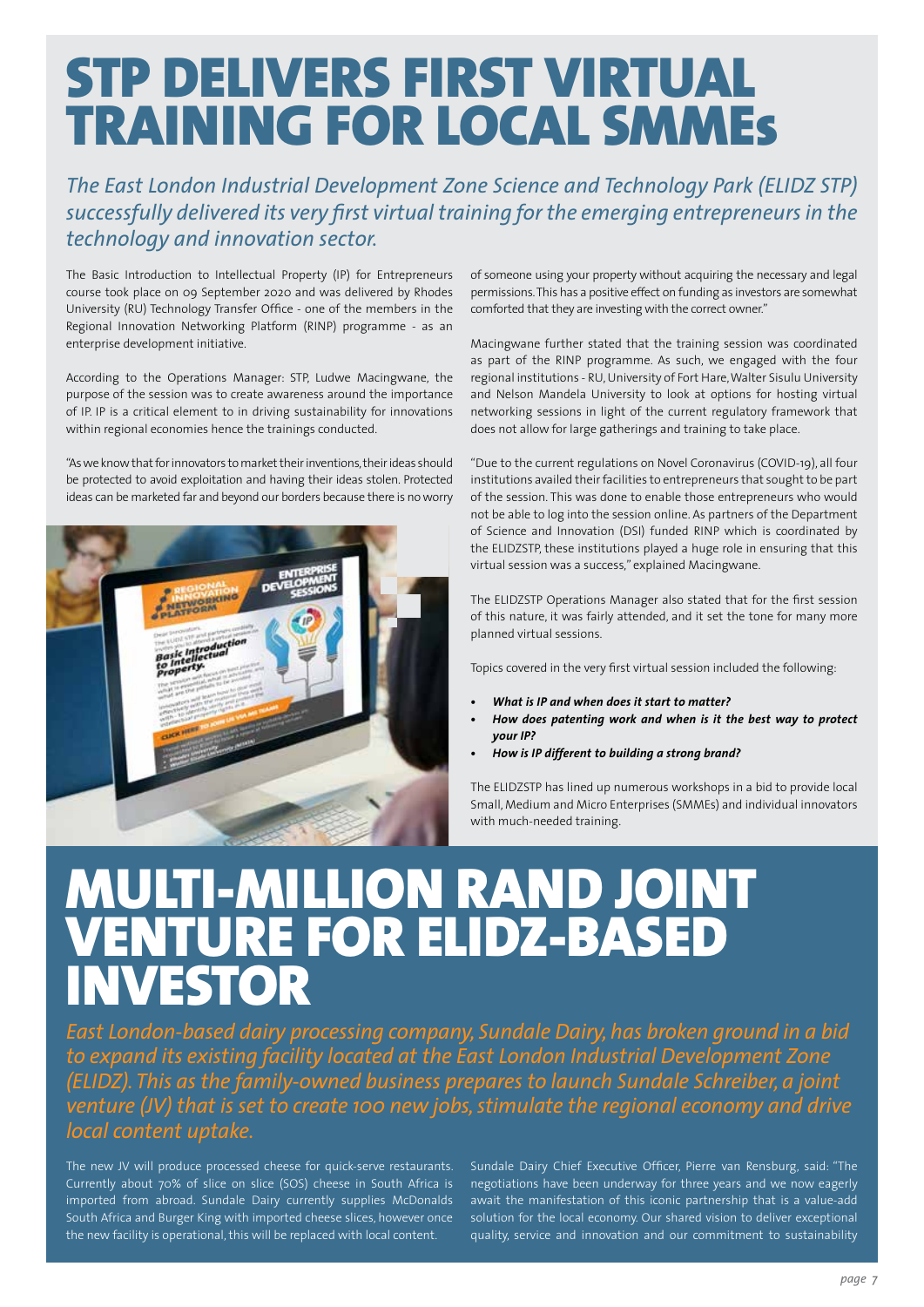## STP DELIVERS FIRST VIRTUAL TRAINING FOR LOCAL SMMEs

*The East London Industrial Development Zone Science and Technology Park (ELIDZ STP) successfully delivered its very first virtual training for the emerging entrepreneurs in the technology and innovation sector.*

The Basic Introduction to Intellectual Property (IP) for Entrepreneurs course took place on 09 September 2020 and was delivered by Rhodes University (RU) Technology Transfer Office - one of the members in the Regional Innovation Networking Platform (RINP) programme - as an enterprise development initiative.

According to the Operations Manager: STP, Ludwe Macingwane, the purpose of the session was to create awareness around the importance of IP. IP is a critical element to in driving sustainability for innovations within regional economies hence the trainings conducted.

"As we know that for innovators to market their inventions, their ideas should be protected to avoid exploitation and having their ideas stolen. Protected ideas can be marketed far and beyond our borders because there is no worry



of someone using your property without acquiring the necessary and legal permissions. This has a positive effect on funding as investors are somewhat comforted that they are investing with the correct owner."

Macingwane further stated that the training session was coordinated as part of the RINP programme. As such, we engaged with the four regional institutions - RU, University of Fort Hare, Walter Sisulu University and Nelson Mandela University to look at options for hosting virtual networking sessions in light of the current regulatory framework that does not allow for large gatherings and training to take place.

"Due to the current regulations on Novel Coronavirus (COVID-19), all four institutions availed their facilities to entrepreneurs that sought to be part of the session. This was done to enable those entrepreneurs who would not be able to log into the session online. As partners of the Department of Science and Innovation (DSI) funded RINP which is coordinated by the ELIDZSTP, these institutions played a huge role in ensuring that this virtual session was a success," explained Macingwane.

The ELIDZSTP Operations Manager also stated that for the first session of this nature, it was fairly attended, and it set the tone for many more planned virtual sessions.

Topics covered in the very first virtual session included the following:

- *• What is IP and when does it start to matter?*
- How does patenting work and when is it the best way to protect *your IP?*
- *• How is IP different to building a strong brand?*

The ELIDZSTP has lined up numerous workshops in a bid to provide local Small, Medium and Micro Enterprises (SMMEs) and individual innovators with much-needed training.

### MULTI-MILLION RAND JOINT VENTURE FOR ELIDZ-BASED **NVESTOR**

*East London-based dairy processing company, Sundale Dairy, has broken ground in a bid to expand its existing facility located at the East London Industrial Development Zone (ELIDZ). This as the family-owned business prepares to launch Sundale Schreiber, a joint venture (JV) that is set to create 100 new jobs, stimulate the regional economy and drive local content uptake.*

The new JV will produce processed cheese for quick-serve restaurants. Currently about 70% of slice on slice (SOS) cheese in South Africa is imported from abroad. Sundale Dairy currently supplies McDonalds South Africa and Burger King with imported cheese slices, however once the new facility is operational, this will be replaced with local content.

Sundale Dairy Chief Executive Officer, Pierre van Rensburg, said: "The negotiations have been underway for three years and we now eagerly await the manifestation of this iconic partnership that is a value-add solution for the local economy. Our shared vision to deliver exceptional quality, service and innovation and our commitment to sustainability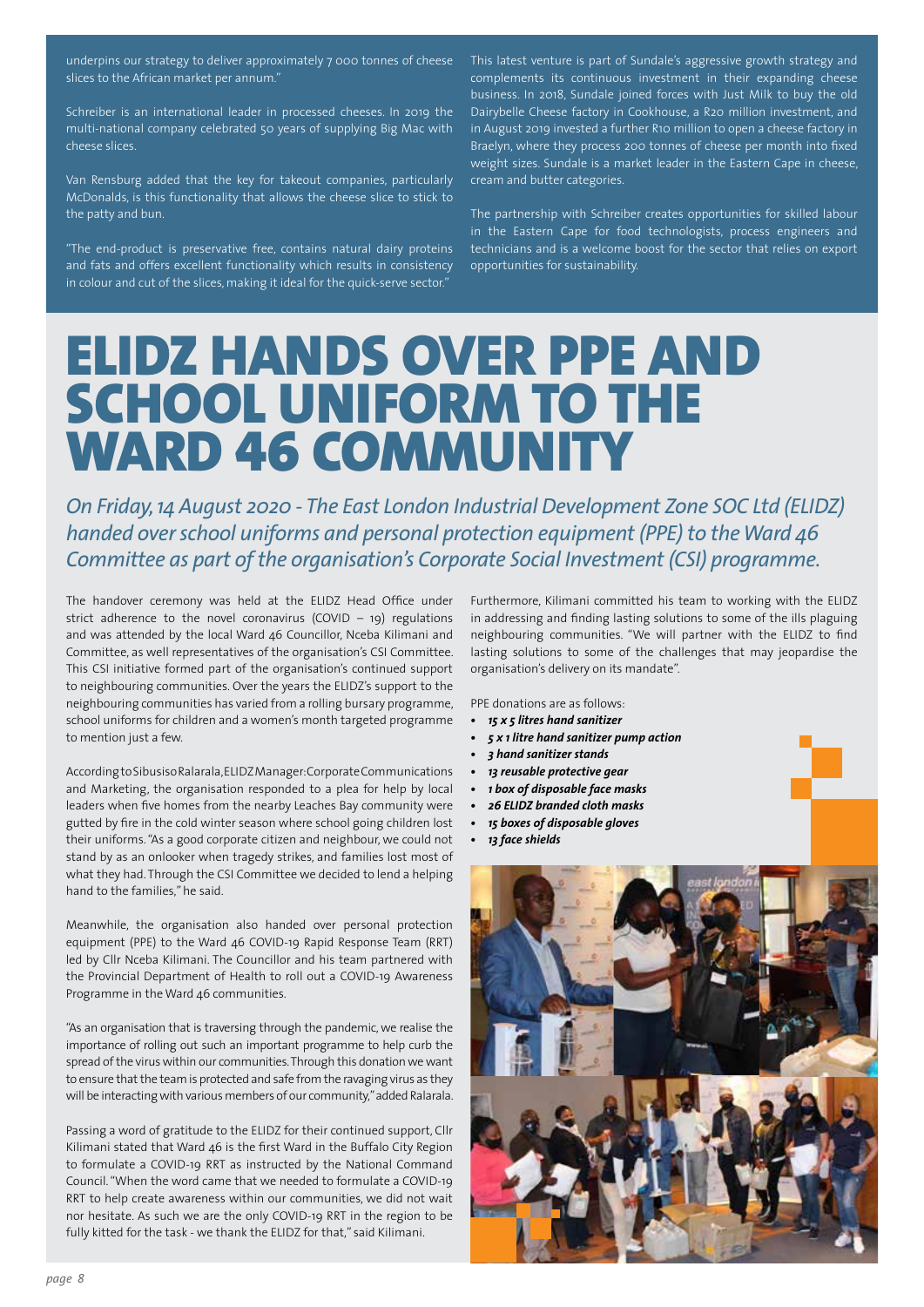underpins our strategy to deliver approximately 7 000 tonnes of cheese slices to the African market per annum.'

Schreiber is an international leader in processed cheeses. In 2019 the multi-national company celebrated 50 years of supplying Big Mac with cheese slices.

Van Rensburg added that the key for takeout companies, particularly McDonalds, is this functionality that allows the cheese slice to stick to the patty and bun.

"The end-product is preservative free, contains natural dairy proteins and fats and offers excellent functionality which results in consistency in colour and cut of the slices, making it ideal for the quick-serve sector."

This latest venture is part of Sundale's aggressive growth strategy and complements its continuous investment in their expanding cheese business. In 2018, Sundale joined forces with Just Milk to buy the old Dairybelle Cheese factory in Cookhouse, a R20 million investment, and in August 2019 invested a further R10 million to open a cheese factory in Braelyn, where they process 200 tonnes of cheese per month into fixed weight sizes. Sundale is a market leader in the Eastern Cape in cheese, cream and butter categories.

The partnership with Schreiber creates opportunities for skilled labour in the Eastern Cape for food technologists, process engineers and technicians and is a welcome boost for the sector that relies on export opportunities for sustainability.

### ELIDZ HANDS OVER PPE AND SCHOOL UNIFORM TO THE WARD 46 COMMUNITY

*On Friday, 14 August 2020 - The East London Industrial Development Zone SOC Ltd (ELIDZ) handed over school uniforms and personal protection equipment (PPE) to the Ward 46 Committee as part of the organisation's Corporate Social Investment (CSI) programme.*

The handover ceremony was held at the ELIDZ Head Office under strict adherence to the novel coronavirus (COVID  $-$  19) regulations and was attended by the local Ward 46 Councillor, Nceba Kilimani and Committee, as well representatives of the organisation's CSI Committee. This CSI initiative formed part of the organisation's continued support to neighbouring communities. Over the years the ELIDZ's support to the neighbouring communities has varied from a rolling bursary programme, school uniforms for children and a women's month targeted programme to mention just a few.

According to Sibusiso Ralarala, ELIDZ Manager: Corporate Communications and Marketing, the organisation responded to a plea for help by local leaders when five homes from the nearby Leaches Bay community were gutted by fire in the cold winter season where school going children lost their uniforms. "As a good corporate citizen and neighbour, we could not stand by as an onlooker when tragedy strikes, and families lost most of what they had. Through the CSI Committee we decided to lend a helping hand to the families," he said.

Meanwhile, the organisation also handed over personal protection equipment (PPE) to the Ward 46 COVID-19 Rapid Response Team (RRT) led by Cllr Nceba Kilimani. The Councillor and his team partnered with the Provincial Department of Health to roll out a COVID-19 Awareness Programme in the Ward 46 communities.

"As an organisation that is traversing through the pandemic, we realise the importance of rolling out such an important programme to help curb the spread of the virus within our communities. Through this donation we want to ensure that the team is protected and safe from the ravaging virus as they will be interacting with various members of our community," added Ralarala.

Passing a word of gratitude to the ELIDZ for their continued support, Cllr Kilimani stated that Ward 46 is the first Ward in the Buffalo City Region to formulate a COVID-19 RRT as instructed by the National Command Council. "When the word came that we needed to formulate a COVID-19 RRT to help create awareness within our communities, we did not wait nor hesitate. As such we are the only COVID-19 RRT in the region to be fully kitted for the task - we thank the ELIDZ for that," said Kilimani.

Furthermore, Kilimani committed his team to working with the ELIDZ in addressing and finding lasting solutions to some of the ills plaguing neighbouring communities. "We will partner with the ELIDZ to find lasting solutions to some of the challenges that may jeopardise the organisation's delivery on its mandate".

PPE donations are as follows:

- *• 15 x 5 litres hand sanitizer*
- *• 5 x 1 litre hand sanitizer pump action*
- *• 3 hand sanitizer stands*
- *• 13 reusable protective gear*
- *• 1 box of disposable face masks*
- *• 26 ELIDZ branded cloth masks*
- **15 boxes of disposable gloves**
- *• 13 face shields*